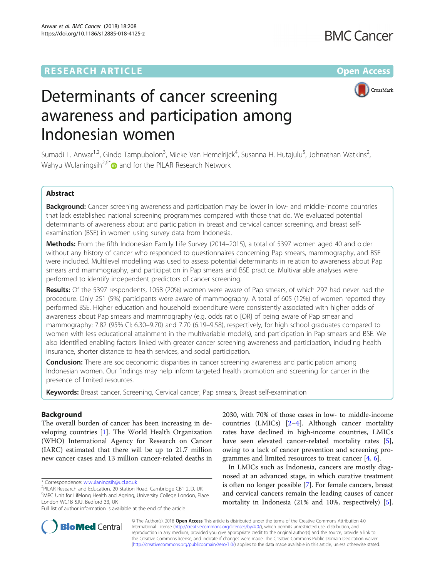## **RESEARCH ARTICLE Example 2018 12:00 Department of the CONNECTION CONNECTION CONNECTION CONNECTION CONNECTION**



# Determinants of cancer screening awareness and participation among Indonesian women

Sumadi L. Anwar<sup>1,2</sup>, Gindo Tampubolon<sup>3</sup>, Mieke Van Hemelrijck<sup>4</sup>, Susanna H. Hutajulu<sup>5</sup>, Johnathan Watkins<sup>2</sup> , Wahyu Wulaningsih<sup>2,6\*</sup> $\bullet$  and for the PILAR Research Network

### Abstract

Background: Cancer screening awareness and participation may be lower in low- and middle-income countries that lack established national screening programmes compared with those that do. We evaluated potential determinants of awareness about and participation in breast and cervical cancer screening, and breast selfexamination (BSE) in women using survey data from Indonesia.

Methods: From the fifth Indonesian Family Life Survey (2014–2015), a total of 5397 women aged 40 and older without any history of cancer who responded to questionnaires concerning Pap smears, mammography, and BSE were included. Multilevel modelling was used to assess potential determinants in relation to awareness about Pap smears and mammography, and participation in Pap smears and BSE practice. Multivariable analyses were performed to identify independent predictors of cancer screening.

Results: Of the 5397 respondents, 1058 (20%) women were aware of Pap smears, of which 297 had never had the procedure. Only 251 (5%) participants were aware of mammography. A total of 605 (12%) of women reported they performed BSE. Higher education and household expenditure were consistently associated with higher odds of awareness about Pap smears and mammography (e.g. odds ratio [OR] of being aware of Pap smear and mammography: 7.82 (95% CI: 6.30–9.70) and 7.70 (6.19–9.58), respectively, for high school graduates compared to women with less educational attainment in the multivariable models), and participation in Pap smears and BSE. We also identified enabling factors linked with greater cancer screening awareness and participation, including health insurance, shorter distance to health services, and social participation.

**Conclusion:** There are socioeconomic disparities in cancer screening awareness and participation among Indonesian women. Our findings may help inform targeted health promotion and screening for cancer in the presence of limited resources.

Keywords: Breast cancer, Screening, Cervical cancer, Pap smears, Breast self-examination

#### Background

The overall burden of cancer has been increasing in developing countries [\[1](#page-10-0)]. The World Health Organization (WHO) International Agency for Research on Cancer (IARC) estimated that there will be up to 21.7 million new cancer cases and 13 million cancer-related deaths in

\* Correspondence: [w.wulaningsih@ucl.ac.uk](mailto:w.wulaningsih@ucl.ac.uk) <sup>2</sup>

Full list of author information is available at the end of the article

2030, with 70% of those cases in low- to middle-income countries (LMICs) [\[2](#page-10-0)–[4](#page-10-0)]. Although cancer mortality rates have declined in high-income countries, LMICs have seen elevated cancer-related mortality rates [\[5](#page-10-0)], owing to a lack of cancer prevention and screening programmes and limited resources to treat cancer [[4,](#page-10-0) [6\]](#page-10-0).

In LMICs such as Indonesia, cancers are mostly diagnosed at an advanced stage, in which curative treatment is often no longer possible [[7](#page-10-0)]. For female cancers, breast and cervical cancers remain the leading causes of cancer mortality in Indonesia (21% and 10%, respectively) [\[5](#page-10-0)].



© The Author(s). 2018 Open Access This article is distributed under the terms of the Creative Commons Attribution 4.0 International License [\(http://creativecommons.org/licenses/by/4.0/](http://creativecommons.org/licenses/by/4.0/)), which permits unrestricted use, distribution, and reproduction in any medium, provided you give appropriate credit to the original author(s) and the source, provide a link to the Creative Commons license, and indicate if changes were made. The Creative Commons Public Domain Dedication waiver [\(http://creativecommons.org/publicdomain/zero/1.0/](http://creativecommons.org/publicdomain/zero/1.0/)) applies to the data made available in this article, unless otherwise stated.

<sup>&</sup>lt;sup>2</sup>PILAR Research and Education, 20 Station Road, Cambridge CB1 2JD, UK <sup>6</sup>MRC Unit for Lifelong Health and Ageing, University College London, Place London WC1B 5JU, Bedford 33, UK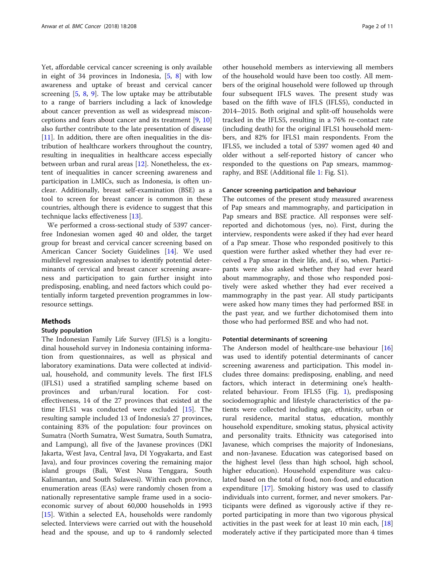Yet, affordable cervical cancer screening is only available in eight of 34 provinces in Indonesia, [[5](#page-10-0), [8](#page-10-0)] with low awareness and uptake of breast and cervical cancer screening  $[5, 8, 9]$  $[5, 8, 9]$  $[5, 8, 9]$  $[5, 8, 9]$  $[5, 8, 9]$  $[5, 8, 9]$ . The low uptake may be attributable to a range of barriers including a lack of knowledge about cancer prevention as well as widespread misconceptions and fears about cancer and its treatment [\[9](#page-10-0), [10](#page-10-0)] also further contribute to the late presentation of disease [[11\]](#page-10-0). In addition, there are often inequalities in the distribution of healthcare workers throughout the country, resulting in inequalities in healthcare access especially between urban and rural areas [\[12](#page-10-0)]. Nonetheless, the extent of inequalities in cancer screening awareness and participation in LMICs, such as Indonesia, is often unclear. Additionally, breast self-examination (BSE) as a tool to screen for breast cancer is common in these countries, although there is evidence to suggest that this technique lacks effectiveness [\[13\]](#page-10-0).

We performed a cross-sectional study of 5397 cancerfree Indonesian women aged 40 and older, the target group for breast and cervical cancer screening based on American Cancer Society Guidelines [[14\]](#page-10-0). We used multilevel regression analyses to identify potential determinants of cervical and breast cancer screening awareness and participation to gain further insight into predisposing, enabling, and need factors which could potentially inform targeted prevention programmes in lowresource settings.

#### Methods

#### Study population

The Indonesian Family Life Survey (IFLS) is a longitudinal household survey in Indonesia containing information from questionnaires, as well as physical and laboratory examinations. Data were collected at individual, household, and community levels. The first IFLS (IFLS1) used a stratified sampling scheme based on provinces and urban/rural location. For costeffectiveness, 14 of the 27 provinces that existed at the time IFLS1 was conducted were excluded [[15\]](#page-10-0). The resulting sample included 13 of Indonesia's 27 provinces, containing 83% of the population: four provinces on Sumatra (North Sumatra, West Sumatra, South Sumatra, and Lampung), all five of the Javanese provinces (DKI Jakarta, West Java, Central Java, DI Yogyakarta, and East Java), and four provinces covering the remaining major island groups (Bali, West Nusa Tenggara, South Kalimantan, and South Sulawesi). Within each province, enumeration areas (EAs) were randomly chosen from a nationally representative sample frame used in a socioeconomic survey of about 60,000 households in 1993 [[15\]](#page-10-0). Within a selected EA, households were randomly selected. Interviews were carried out with the household head and the spouse, and up to 4 randomly selected other household members as interviewing all members of the household would have been too costly. All members of the original household were followed up through four subsequent IFLS waves. The present study was based on the fifth wave of IFLS (IFLS5), conducted in 2014–2015. Both original and split-off households were tracked in the IFLS5, resulting in a 76% re-contact rate (including death) for the original IFLS1 household members, and 82% for IFLS1 main respondents. From the IFLS5, we included a total of 5397 women aged 40 and older without a self-reported history of cancer who responded to the questions on Pap smears, mammography, and BSE (Additional file [1:](#page-9-0) Fig. S1).

#### Cancer screening participation and behaviour

The outcomes of the present study measured awareness of Pap smears and mammography, and participation in Pap smears and BSE practice. All responses were selfreported and dichotomous (yes, no). First, during the interview, respondents were asked if they had ever heard of a Pap smear. Those who responded positively to this question were further asked whether they had ever received a Pap smear in their life, and, if so, when. Participants were also asked whether they had ever heard about mammography, and those who responded positively were asked whether they had ever received a mammography in the past year. All study participants were asked how many times they had performed BSE in the past year, and we further dichotomised them into those who had performed BSE and who had not.

#### Potential determinants of screening

The Anderson model of healthcare-use behaviour [[16](#page-10-0)] was used to identify potential determinants of cancer screening awareness and participation. This model includes three domains: predisposing, enabling, and need factors, which interact in determining one's healthrelated behaviour. From IFLS5 (Fig. [1](#page-2-0)), predisposing sociodemographic and lifestyle characteristics of the patients were collected including age, ethnicity, urban or rural residence, marital status, education, monthly household expenditure, smoking status, physical activity and personality traits. Ethnicity was categorised into Javanese, which comprises the majority of Indonesians, and non-Javanese. Education was categorised based on the highest level (less than high school, high school, higher education). Household expenditure was calculated based on the total of food, non-food, and education expenditure [\[17\]](#page-10-0). Smoking history was used to classify individuals into current, former, and never smokers. Participants were defined as vigorously active if they reported participating in more than two vigorous physical activities in the past week for at least 10 min each, [[18](#page-10-0)] moderately active if they participated more than 4 times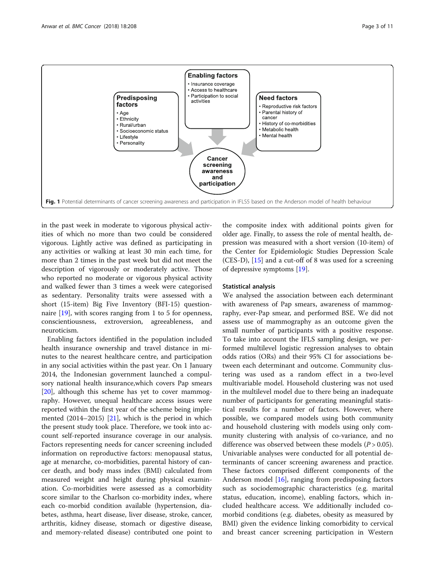<span id="page-2-0"></span>

in the past week in moderate to vigorous physical activities of which no more than two could be considered vigorous. Lightly active was defined as participating in any activities or walking at least 30 min each time, for more than 2 times in the past week but did not meet the description of vigorously or moderately active. Those who reported no moderate or vigorous physical activity and walked fewer than 3 times a week were categorised as sedentary. Personality traits were assessed with a short (15-item) Big Five Inventory (BFI-15) questionnaire [\[19](#page-10-0)], with scores ranging from 1 to 5 for openness, conscientiousness, extroversion, agreeableness, and neuroticism.

Enabling factors identified in the population included health insurance ownership and travel distance in minutes to the nearest healthcare centre, and participation in any social activities within the past year. On 1 January 2014, the Indonesian government launched a compulsory national health insurance,which covers Pap smears [[20\]](#page-10-0), although this scheme has yet to cover mammography. However, unequal healthcare access issues were reported within the first year of the scheme being implemented (2014–2015) [[21\]](#page-10-0), which is the period in which the present study took place. Therefore, we took into account self-reported insurance coverage in our analysis. Factors representing needs for cancer screening included information on reproductive factors: menopausal status, age at menarche, co-morbidities, parental history of cancer death, and body mass index (BMI) calculated from measured weight and height during physical examination. Co-morbidities were assessed as a comorbidity score similar to the Charlson co-morbidity index, where each co-morbid condition available (hypertension, diabetes, asthma, heart disease, liver disease, stroke, cancer, arthritis, kidney disease, stomach or digestive disease, and memory-related disease) contributed one point to the composite index with additional points given for older age. Finally, to assess the role of mental health, depression was measured with a short version (10-item) of the Center for Epidemiologic Studies Depression Scale (CES-D), [[15\]](#page-10-0) and a cut-off of 8 was used for a screening of depressive symptoms [\[19](#page-10-0)].

#### Statistical analysis

We analysed the association between each determinant with awareness of Pap smears, awareness of mammography, ever-Pap smear, and performed BSE. We did not assess use of mammography as an outcome given the small number of participants with a positive response. To take into account the IFLS sampling design, we performed multilevel logistic regression analyses to obtain odds ratios (ORs) and their 95% CI for associations between each determinant and outcome. Community clustering was used as a random effect in a two-level multivariable model. Household clustering was not used in the multilevel model due to there being an inadequate number of participants for generating meaningful statistical results for a number of factors. However, where possible, we compared models using both community and household clustering with models using only community clustering with analysis of co-variance, and no difference was observed between these models  $(P > 0.05)$ . Univariable analyses were conducted for all potential determinants of cancer screening awareness and practice. These factors comprised different components of the Anderson model [\[16\]](#page-10-0), ranging from predisposing factors such as sociodemographic characteristics (e.g. marital status, education, income), enabling factors, which included healthcare access. We additionally included comorbid conditions (e.g. diabetes, obesity as measured by BMI) given the evidence linking comorbidity to cervical and breast cancer screening participation in Western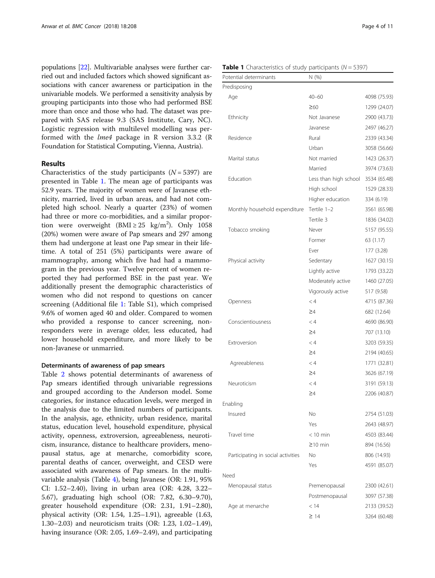populations [\[22\]](#page-10-0). Multivariable analyses were further carried out and included factors which showed significant associations with cancer awareness or participation in the univariable models. We performed a sensitivity analysis by grouping participants into those who had performed BSE more than once and those who had. The dataset was prepared with SAS release 9.3 (SAS Institute, Cary, NC). Logistic regression with multilevel modelling was performed with the lme4 package in R version 3.3.2 (R Foundation for Statistical Computing, Vienna, Austria).

#### Results

Characteristics of the study participants  $(N = 5397)$  are presented in Table 1. The mean age of participants was 52.9 years. The majority of women were of Javanese ethnicity, married, lived in urban areas, and had not completed high school. Nearly a quarter (23%) of women had three or more co-morbidities, and a similar proportion were overweight  $(BMI \geq 25 \text{ kg/m}^2)$ . Only 1058 (20%) women were aware of Pap smears and 297 among them had undergone at least one Pap smear in their lifetime. A total of 251 (5%) participants were aware of mammography, among which five had had a mammogram in the previous year. Twelve percent of women reported they had performed BSE in the past year. We additionally present the demographic characteristics of women who did not respond to questions on cancer screening (Additional file [1:](#page-9-0) Table S1), which comprised 9.6% of women aged 40 and older. Compared to women who provided a response to cancer screening, nonresponders were in average older, less educated, had lower household expenditure, and more likely to be non-Javanese or unmarried.

#### Determinants of awareness of pap smears

Table [2](#page-5-0) shows potential determinants of awareness of Pap smears identified through univariable regressions and grouped according to the Anderson model. Some categories, for instance education levels, were merged in the analysis due to the limited numbers of participants. In the analysis, age, ethnicity, urban residence, marital status, education level, household expenditure, physical activity, openness, extroversion, agreeableness, neuroticism, insurance, distance to healthcare providers, menopausal status, age at menarche, comorbidity score, parental deaths of cancer, overweight, and CESD were associated with awareness of Pap smears. In the multivariable analysis (Table [4\)](#page-8-0), being Javanese (OR: 1.91, 95% CI: 1.52–2.40), living in urban area (OR: 4.28, 3.22– 5.67), graduating high school (OR: 7.82, 6.30–9.70), greater household expenditure (OR: 2.31, 1.91–2.80), physical activity (OR: 1.54, 1.25–1.91), agreeable (1.63, 1.30–2.03) and neuroticism traits (OR: 1.23, 1.02–1.49), having insurance (OR: 2.05, 1.69–2.49), and participating

|  |  | <b>Table 1</b> Characteristics of study participants ( $N = 5397$ ) |  |  |  |  |  |
|--|--|---------------------------------------------------------------------|--|--|--|--|--|
|--|--|---------------------------------------------------------------------|--|--|--|--|--|

| Potential determinants             | N (%)                 |              |  |  |
|------------------------------------|-----------------------|--------------|--|--|
| Predisposing                       |                       |              |  |  |
| Age                                | $40 - 60$             | 4098 (75.93) |  |  |
|                                    | $\geq 60$             | 1299 (24.07) |  |  |
| Ethnicity                          | Not Javanese          | 2900 (43.73) |  |  |
|                                    | Javanese              | 2497 (46.27) |  |  |
| Residence                          | Rural                 | 2339 (43.34) |  |  |
|                                    | Urban                 | 3058 (56.66) |  |  |
| Marital status                     | Not married           | 1423 (26.37) |  |  |
|                                    | Married               | 3974 (73.63) |  |  |
| Fducation                          | Less than high school | 3534 (65.48) |  |  |
|                                    | High school           | 1529 (28.33) |  |  |
|                                    | Higher education      | 334 (6.19)   |  |  |
| Monthly household expenditure      | Tertile 1-2           | 3561 (65.98) |  |  |
|                                    | Tertile 3             | 1836 (34.02) |  |  |
| Tobacco smoking                    | Never                 | 5157 (95.55) |  |  |
|                                    | Former                | 63 (1.17)    |  |  |
|                                    | Ever                  | 177 (3.28)   |  |  |
| Physical activity                  | Sedentary             | 1627 (30.15) |  |  |
|                                    | Lightly active        | 1793 (33.22) |  |  |
|                                    | Moderately active     | 1460 (27.05) |  |  |
|                                    | Vigorously active     | 517 (9.58)   |  |  |
| Openness                           | < 4                   | 4715 (87.36) |  |  |
|                                    | $\geq 4$              | 682 (12.64)  |  |  |
| Conscientiousness                  | < 4                   | 4690 (86.90) |  |  |
|                                    | $\geq 4$              | 707 (13.10)  |  |  |
| Extroversion                       | $\lt 4$               | 3203 (59.35) |  |  |
|                                    | $\geq 4$              | 2194 (40.65) |  |  |
| Agreeableness                      | $\lt 4$               | 1771 (32.81) |  |  |
|                                    | $\geq 4$              | 3626 (67.19) |  |  |
| Neuroticism                        | $\lt 4$               | 3191 (59.13) |  |  |
|                                    | ≥4                    | 2206 (40.87) |  |  |
| Enabling                           |                       |              |  |  |
| Insured                            | No                    | 2754 (51.03) |  |  |
|                                    | Yes                   | 2643 (48.97) |  |  |
| Travel time                        | $<$ 10 min            | 4503 (83.44) |  |  |
|                                    | $≥10$ min             | 894 (16.56)  |  |  |
| Participating in social activities | Νo                    | 806 (14.93)  |  |  |
|                                    | Yes                   | 4591 (85.07) |  |  |
| Need                               |                       |              |  |  |
| Menopausal status                  | Premenopausal         | 2300 (42.61) |  |  |
|                                    | Postmenopausal        | 3097 (57.38) |  |  |
| Age at menarche                    | < 14                  | 2133 (39.52) |  |  |
|                                    | $\geq$ 14             | 3264 (60.48) |  |  |
|                                    |                       |              |  |  |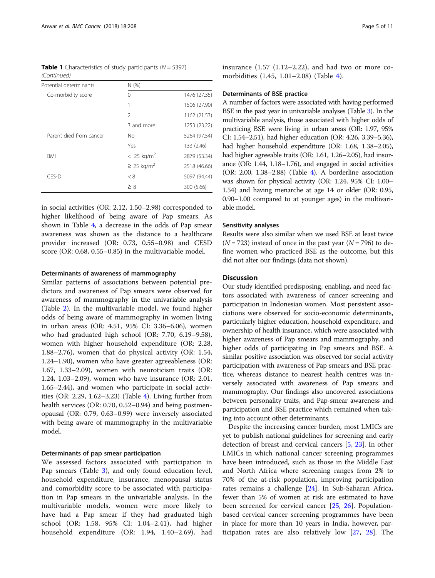**Table 1** Characteristics of study participants ( $N = 5397$ ) (Continued)

| Potential determinants  | N(%)                        |              |
|-------------------------|-----------------------------|--------------|
| Co-morbidity score      | 0                           | 1476 (27.35) |
|                         | 1                           | 1506 (27.90) |
|                         | $\mathfrak{D}$              | 1162 (21.53) |
|                         | 3 and more                  | 1253 (23.22) |
| Parent died from cancer | No                          | 5264 (97.54) |
|                         | Yes                         | 133 (2.46)   |
| <b>BMI</b>              | $< 25 \text{ kg/m}^2$       | 2879 (53.34) |
|                         | $\geq$ 25 kg/m <sup>2</sup> | 2518 (46.66) |
| CES-D                   | < 8                         | 5097 (94.44) |
|                         | $\geq 8$                    | 300 (5.66)   |

in social activities (OR: 2.12, 1.50–2.98) corresponded to higher likelihood of being aware of Pap smears. As shown in Table [4,](#page-8-0) a decrease in the odds of Pap smear awareness was shown as the distance to a healthcare provider increased (OR: 0.73, 0.55–0.98) and CESD score (OR: 0.68, 0.55–0.85) in the multivariable model.

#### Determinants of awareness of mammography

Similar patterns of associations between potential predictors and awareness of Pap smears were observed for awareness of mammography in the univariable analysis (Table [2](#page-5-0)). In the multivariable model, we found higher odds of being aware of mammography in women living in urban areas (OR: 4.51, 95% CI: 3.36–6.06), women who had graduated high school (OR: 7.70, 6.19–9.58), women with higher household expenditure (OR: 2.28, 1.88–2.76), women that do physical activity (OR: 1.54, 1.24–1.90), women who have greater agreeableness (OR: 1.67, 1.33–2.09), women with neuroticism traits (OR: 1.24, 1.03–2.09), women who have insurance (OR: 2.01, 1.65–2.44), and women who participate in social activities (OR: 2.29, 1.62–3.23) (Table [4](#page-8-0)). Living further from health services (OR: 0.70, 0.52–0.94) and being postmenopausal (OR: 0.79, 0.63–0.99) were inversely associated with being aware of mammography in the multivariable model.

#### Determinants of pap smear participation

We assessed factors associated with participation in Pap smears (Table [3](#page-7-0)), and only found education level, household expenditure, insurance, menopausal status and comorbidity score to be associated with participation in Pap smears in the univariable analysis. In the multivariable models, women were more likely to have had a Pap smear if they had graduated high school (OR: 1.58, 95% CI: 1.04–2.41), had higher household expenditure (OR: 1.94, 1.40–2.69), had insurance (1.57 (1.12–2.22), and had two or more comorbidities (1.45, 1.01–2.08) (Table [4](#page-8-0)).

#### Determinants of BSE practice

A number of factors were associated with having performed BSE in the past year in univariable analyses (Table [3](#page-7-0)). In the multivariable analysis, those associated with higher odds of practicing BSE were living in urban areas (OR: 1.97, 95% CI: 1.54–2.51), had higher education (OR: 4.26, 3.39–5.36), had higher household expenditure (OR: 1.68, 1.38–2.05), had higher agreeable traits (OR: 1.61, 1.26–2.05), had insurance (OR: 1.44, 1.18–1.76), and engaged in social activities (OR: 2.00, 1.38–2.88) (Table [4\)](#page-8-0). A borderline association was shown for physical activity (OR: 1.24, 95% CI: 1.00– 1.54) and having menarche at age 14 or older (OR: 0.95, 0.90–1.00 compared to at younger ages) in the multivariable model.

#### Sensitivity analyses

Results were also similar when we used BSE at least twice  $(N = 723)$  instead of once in the past year  $(N = 796)$  to define women who practiced BSE as the outcome, but this did not alter our findings (data not shown).

#### **Discussion**

Our study identified predisposing, enabling, and need factors associated with awareness of cancer screening and participation in Indonesian women. Most persistent associations were observed for socio-economic determinants, particularly higher education, household expenditure, and ownership of health insurance, which were associated with higher awareness of Pap smears and mammography, and higher odds of participating in Pap smears and BSE. A similar positive association was observed for social activity participation with awareness of Pap smears and BSE practice, whereas distance to nearest health centres was inversely associated with awareness of Pap smears and mammography. Our findings also uncovered associations between personality traits, and Pap-smear awareness and participation and BSE practice which remained when taking into account other determinants.

Despite the increasing cancer burden, most LMICs are yet to publish national guidelines for screening and early detection of breast and cervical cancers [[5,](#page-10-0) [23](#page-10-0)]. In other LMICs in which national cancer screening programmes have been introduced, such as those in the Middle East and North Africa where screening ranges from 2% to 70% of the at-risk population, improving participation rates remains a challenge [[24](#page-10-0)]. In Sub-Saharan Africa, fewer than 5% of women at risk are estimated to have been screened for cervical cancer [[25](#page-10-0), [26\]](#page-10-0). Populationbased cervical cancer screening programmes have been in place for more than 10 years in India, however, participation rates are also relatively low [[27,](#page-10-0) [28\]](#page-10-0). The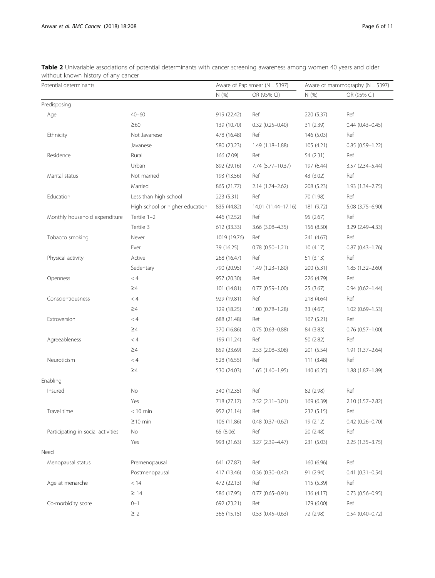<span id="page-5-0"></span>Table 2 Univariable associations of potential determinants with cancer screening awareness among women 40 years and older without known history of any cancer

| mendae is lower instory or any cancel<br>Potential determinants |                                 |              | Aware of Pap smear ( $N = 5397$ ) |            | Aware of mammography $(N = 5397)$ |
|-----------------------------------------------------------------|---------------------------------|--------------|-----------------------------------|------------|-----------------------------------|
|                                                                 |                                 | N(%)         | OR (95% CI)                       | N (%)      | OR (95% CI)                       |
| Predisposing                                                    |                                 |              |                                   |            |                                   |
| Age                                                             | $40 - 60$                       | 919 (22.42)  | Ref                               | 220 (5.37) | Ref                               |
|                                                                 | $\geq 60$                       | 139 (10.70)  | $0.32(0.25 - 0.40)$               | 31 (2.39)  | $0.44(0.43 - 0.45)$               |
| Ethnicity                                                       | Not Javanese                    | 478 (16.48)  | Ref                               | 146 (5.03) | Ref                               |
|                                                                 | Javanese                        | 580 (23.23)  | $1.49(1.18-1.88)$                 | 105 (4.21) | $0.85(0.59 - 1.22)$               |
| Residence                                                       | Rural                           | 166 (7.09)   | Ref                               | 54 (2.31)  | Ref                               |
|                                                                 | Urban                           | 892 (29.16)  | 7.74 (5.77–10.37)                 | 197 (6.44) | $3.57(2.34 - 5.44)$               |
| Marital status                                                  | Not married                     | 193 (13.56)  | Ref                               | 43 (3.02)  | Ref                               |
|                                                                 | Married                         | 865 (21.77)  | $2.14(1.74 - 2.62)$               | 208 (5.23) | $1.93(1.34 - 2.75)$               |
| Education                                                       | Less than high school           | 223 (5.31)   | Ref                               | 70 (1.98)  | Ref                               |
|                                                                 | High school or higher education | 835 (44.82)  | 14.01 (11.44–17.16)               | 181 (9.72) | 5.08 (3.75-6.90)                  |
| Monthly household expenditure                                   | Tertile 1-2                     | 446 (12.52)  | Ref                               | 95 (2.67)  | Ref                               |
|                                                                 | Tertile 3                       | 612 (33.33)  | 3.66 (3.08-4.35)                  | 156 (8.50) | 3.29 (2.49-4.33)                  |
| Tobacco smoking                                                 | Never                           | 1019 (19.76) | Ref                               | 241 (4.67) | Ref                               |
|                                                                 | Ever                            | 39 (16.25)   | $0.78(0.50 - 1.21)$               | 10(4.17)   | $0.87(0.43 - 1.76)$               |
| Physical activity                                               | Active                          | 268 (16.47)  | Ref                               | 51(3.13)   | Ref                               |
|                                                                 | Sedentary                       | 790 (20.95)  | $1.49(1.23 - 1.80)$               | 200 (5.31) | $1.85(1.32 - 2.60)$               |
| Openness                                                        | $< 4\,$                         | 957 (20.30)  | Ref                               | 226 (4.79) | Ref                               |
|                                                                 | $\geq 4$                        | 101 (14.81)  | $0.77(0.59 - 1.00)$               | 25(3.67)   | $0.94(0.62 - 1.44)$               |
| Conscientiousness                                               | < 4                             | 929 (19.81)  | Ref                               | 218 (4.64) | Ref                               |
|                                                                 | $\geq 4$                        | 129 (18.25)  | $1.00(0.78 - 1.28)$               | 33 (4.67)  | $1.02(0.69 - 1.53)$               |
| Extroversion                                                    | < 4                             | 688 (21.48)  | Ref                               | 167(5.21)  | Ref                               |
|                                                                 | $\geq 4$                        | 370 (16.86)  | $0.75(0.63 - 0.88)$               | 84 (3.83)  | $0.76$ $(0.57-1.00)$              |
| Agreeableness                                                   | < 4                             | 199 (11.24)  | Ref                               | 50 (2.82)  | Ref                               |
|                                                                 | $\geq 4$                        | 859 (23.69)  | $2.53(2.08 - 3.08)$               | 201 (5.54) | 1.91 (1.37-2.64)                  |
| Neuroticism                                                     | < 4                             | 528 (16.55)  | Ref                               | 111(3.48)  | Ref                               |
|                                                                 | $\geq 4$                        | 530 (24.03)  | $1.65(1.40-1.95)$                 | 140(6.35)  | $1.88(1.87 - 1.89)$               |
| Enabling                                                        |                                 |              |                                   |            |                                   |
| Insured                                                         | No                              | 340 (12.35)  | Ref                               | 82 (2.98)  | Ref                               |
|                                                                 | Yes                             | 718 (27.17)  | $2.52(2.11 - 3.01)$               | 169 (6.39) | 2.10 (1.57-2.82)                  |
| Travel time                                                     | $< 10$ min                      | 952 (21.14)  | Ref                               | 232 (5.15) | Ref                               |
|                                                                 | $\geq$ 10 min                   | 106 (11.86)  | $0.48(0.37 - 0.62)$               | 19 (2.12)  | $0.42$ $(0.26 - 0.70)$            |
| Participating in social activities                              | No                              | 65 (8.06)    | Ref                               | 20 (2.48)  | Ref                               |
|                                                                 | Yes                             | 993 (21.63)  | 3.27 (2.39-4.47)                  | 231 (5.03) | $2.25(1.35-3.75)$                 |
| Need                                                            |                                 |              |                                   |            |                                   |
| Menopausal status                                               | Premenopausal                   | 641 (27.87)  | Ref                               | 160(6.96)  | Ref                               |
|                                                                 | Postmenopausal                  | 417 (13.46)  | $0.36(0.30 - 0.42)$               | 91 (2.94)  | $0.41(0.31 - 0.54)$               |
| Age at menarche                                                 | < 14                            | 472 (22.13)  | Ref                               | 115(5.39)  | Ref                               |
|                                                                 | $\geq$ 14                       | 586 (17.95)  | $0.77(0.65 - 0.91)$               | 136 (4.17) | $0.73$ $(0.56 - 0.95)$            |
| Co-morbidity score                                              | $0 - 1$                         | 692 (23.21)  | Ref                               | 179 (6.00) | Ref                               |
|                                                                 | $\geq$ 2                        | 366 (15.15)  | $0.53(0.45 - 0.63)$               | 72 (2.98)  | $0.54(0.40 - 0.72)$               |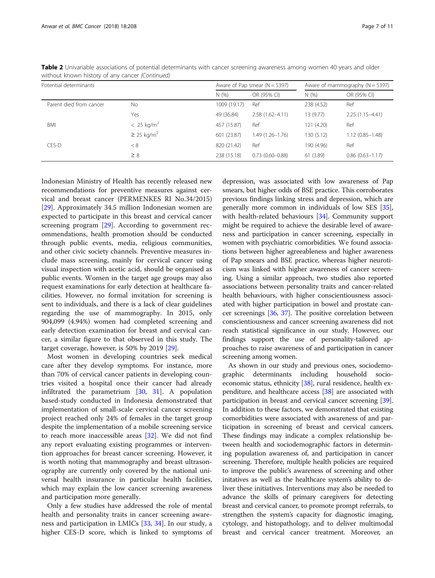| Potential determinants  |                             |              | Aware of Pap smear $(N = 5397)$ | Aware of mammography $(N = 5397)$ |                     |
|-------------------------|-----------------------------|--------------|---------------------------------|-----------------------------------|---------------------|
|                         |                             | N(% )        | OR (95% CI)                     | N(%                               | OR (95% CI)         |
| Parent died from cancer | No.                         | 1009 (19.17) | Ref                             | 238 (4.52)                        | Ref                 |
|                         | Yes                         | 49 (36.84)   | $2.58(1.62 - 4.11)$             | 13 (9.77)                         | $2.25(1.15 - 4.41)$ |
| BMI                     | $< 25 \text{ kg/m}^2$       | 457 (15.87)  | Ref                             | 121 (4.20)                        | Ref                 |
|                         | $\geq$ 25 kg/m <sup>2</sup> | 601 (23.87)  | $1.49(1.26 - 1.76)$             | 130 (5.12)                        | $1.12(0.85 - 1.48)$ |
| CES-D                   | < 8                         | 820 (21.42)  | Ref                             | 190 (4.96)                        | Ref                 |
|                         | $\geq 8$                    | 238 (15.18)  | $0.73(0.60 - 0.88)$             | 61 (3.89)                         | $0.86(0.63 - 1.17)$ |

Table 2 Univariable associations of potential determinants with cancer screening awareness among women 40 years and older without known history of any cancer (Continued)

Indonesian Ministry of Health has recently released new recommendations for preventive measures against cervical and breast cancer (PERMENKES RI No.34/2015) [[29\]](#page-10-0). Approximately 34.5 million Indonesian women are expected to participate in this breast and cervical cancer screening program [\[29](#page-10-0)]. According to government recommendations, health promotion should be conducted through public events, media, religious communities, and other civic society channels. Preventive measures include mass screening, mainly for cervical cancer using visual inspection with acetic acid, should be organised as public events. Women in the target age groups may also request examinations for early detection at healthcare facilities. However, no formal invitation for screening is sent to individuals, and there is a lack of clear guidelines regarding the use of mammography. In 2015, only 904,099 (4.94%) women had completed screening and early detection examination for breast and cervical cancer, a similar figure to that observed in this study. The target coverage, however, is 50% by 2019 [[29](#page-10-0)].

Most women in developing countries seek medical care after they develop symptoms. For instance, more than 70% of cervical cancer patients in developing countries visited a hospital once their cancer had already infiltrated the parametrium [\[30,](#page-10-0) [31\]](#page-10-0). A population based-study conducted in Indonesia demonstrated that implementation of small-scale cervical cancer screening project reached only 24% of females in the target group despite the implementation of a mobile screening service to reach more inaccessible areas [\[32](#page-10-0)]. We did not find any report evaluating existing programmes or intervention approaches for breast cancer screening. However, it is worth noting that mammography and breast ultrasonography are currently only covered by the national universal health insurance in particular health facilities, which may explain the low cancer screening awareness and participation more generally.

Only a few studies have addressed the role of mental health and personality traits in cancer screening awareness and participation in LMICs [\[33](#page-10-0), [34](#page-10-0)]. In our study, a higher CES-D score, which is linked to symptoms of

depression, was associated with low awareness of Pap smears, but higher odds of BSE practice. This corroborates previous findings linking stress and depression, which are generally more common in individuals of low SES [[35](#page-10-0)], with health-related behaviours [\[34\]](#page-10-0). Community support might be required to achieve the desirable level of awareness and participation in cancer screening, especially in women with psychiatric comorbidities. We found associations between higher agreeableness and higher awareness of Pap smears and BSE practice, whereas higher neuroticism was linked with higher awareness of cancer screening. Using a similar approach, two studies also reported associations between personality traits and cancer-related health behaviours, with higher conscientiousness associated with higher participation in bowel and prostate cancer screenings [\[36](#page-10-0), [37\]](#page-10-0). The positive correlation between conscientiousness and cancer screening awareness did not reach statistical significance in our study. However, our findings support the use of personality-tailored approaches to raise awareness of and participation in cancer screening among women.

As shown in our study and previous ones, sociodemographic determinants including household socio-economic status, ethnicity [[38](#page-10-0)], rural residence, health expenditure, and healthcare access [\[38\]](#page-10-0) are associated with participation in breast and cervical cancer screening [[39](#page-10-0)]. In addition to these factors, we demonstrated that existing comorbidities were associated with awareness of and participation in screening of breast and cervical cancers. These findings may indicate a complex relationship between health and sociodemographic factors in determining population awareness of, and participation in cancer screening. Therefore, multiple health policies are required to improve the public's awareness of screening and other initatives as well as the healthcare system's ability to deliver these initiatives. Interventions may also be needed to advance the skills of primary caregivers for detecting breast and cervical cancer, to promote prompt referrals, to strengthen the system's capacity for diagnostic imaging, cytology, and histopathology, and to deliver multimodal breast and cervical cancer treatment. Moreover, an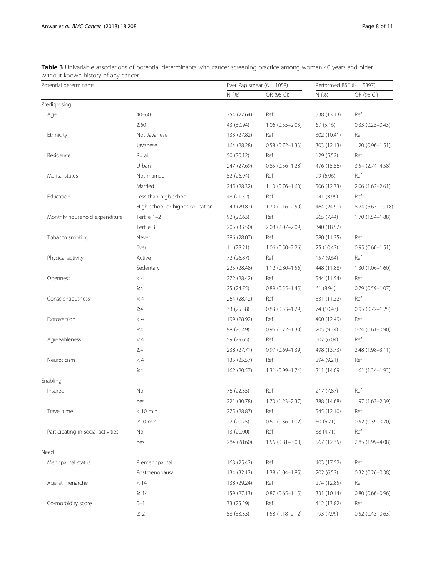<span id="page-7-0"></span>Table 3 Univariable associations of potential determinants with cancer screening practice among women 40 years and older without known history of any cancer

| Potential determinants             |                                 | Ever Pap smear ( $N = 1058$ ) |                     | Performed BSE ( $N = 5397$ ) |                     |
|------------------------------------|---------------------------------|-------------------------------|---------------------|------------------------------|---------------------|
|                                    |                                 | N(%                           | OR (95 CI)          | N(%)                         | OR (95 CI)          |
| Predisposing                       |                                 |                               |                     |                              |                     |
| Age                                | $40 - 60$                       | 254 (27.64)                   | Ref                 | 538 (13.13)                  | Ref                 |
|                                    | $\geq 60$                       | 43 (30.94)                    | $1.06(0.55 - 2.03)$ | 67(5.16)                     | $0.33(0.25 - 0.43)$ |
| Ethnicity                          | Not Javanese                    | 133 (27.82)                   | Ref                 | 302 (10.41)                  | Ref                 |
|                                    | Javanese                        | 164 (28.28)                   | $0.58(0.72 - 1.33)$ | 303 (12.13)                  | $1.20(0.96 - 1.51)$ |
| Residence                          | Rural                           | 50 (30.12)                    | Ref                 | 129 (5.52)                   | Ref                 |
|                                    | Urban                           | 247 (27.69)                   | $0.85(0.56 - 1.28)$ | 476 (15.56)                  | 3.54 (2.74-4.58)    |
| Marital status                     | Not married                     | 52 (26.94)                    | Ref                 | 99 (6.96)                    | Ref                 |
|                                    | Married                         | 245 (28.32)                   | $1.10(0.76 - 1.60)$ | 506 (12.73)                  | $2.06(1.62 - 2.61)$ |
| Education                          | Less than high school           | 48 (21.52)                    | Ref                 | 141 (3.99)                   | Ref                 |
|                                    | High school or higher education | 249 (29.82)                   | $1.70(1.16 - 2.50)$ | 464 (24.91)                  | 8.24 (6.67-10.18)   |
| Monthly household expenditure      | Tertile 1-2                     | 92 (20.63)                    | Ref                 | 265 (7.44)                   | $1.70(1.54 - 1.88)$ |
|                                    | Tertile 3                       | 205 (33.50)                   | 2.08 (2.07-2.09)    | 340 (18.52)                  |                     |
| Tobacco smoking                    | Never                           | 286 (28.07)                   | Ref                 | 580 (11.25)                  | Ref                 |
|                                    | Ever                            | 11 (28.21)                    | $1.06(0.50 - 2.26)$ | 25 (10.42)                   | $0.95(0.60 - 1.51)$ |
| Physical activity                  | Active                          | 72 (26.87)                    | Ref                 | 157 (9.64)                   | Ref                 |
|                                    | Sedentary                       | 225 (28.48)                   | $1.12(0.80 - 1.56)$ | 448 (11.88)                  | $1.30(1.06 - 1.60)$ |
| Openness                           | < 4                             | 272 (28.42)                   | Ref                 | 544 (11.54)                  | Ref                 |
|                                    | $\geq 4$                        | 25 (24.75)                    | $0.89(0.55 - 1.45)$ | 61 (8.94)                    | $0.79(0.59 - 1.07)$ |
| Conscientiousness                  | < 4                             | 264 (28.42)                   | Ref                 | 531 (11.32)                  | Ref                 |
|                                    | $\geq 4$                        | 33 (25.58)                    | $0.83(0.53 - 1.29)$ | 74 (10.47)                   | $0.95(0.72 - 1.25)$ |
| Extroversion                       | < 4                             | 199 (28.92)                   | Ref                 | 400 (12.49)                  | Ref                 |
|                                    | $\geq 4$                        | 98 (26.49)                    | $0.96(0.72 - 1.30)$ | 205 (9.34)                   | $0.74(0.61 - 0.90)$ |
| Agreeableness                      | < 4                             | 59 (29.65)                    | Ref                 | 107 (6.04)                   | Ref                 |
|                                    | $\geq 4$                        | 238 (27.71)                   | $0.97(0.69 - 1.39)$ | 498 (13.73)                  | 2.48 (1.98-3.11)    |
| Neuroticism                        | < 4                             | 135 (25.57)                   | Ref                 | 294 (9.21)                   | Ref                 |
|                                    | $\geq 4$                        | 162 (20.57)                   | $1.31(0.99 - 1.74)$ | 311 (14.09)                  | $1.61(1.34 - 1.93)$ |
| Enabling                           |                                 |                               |                     |                              |                     |
| Insured                            | No                              | 76 (22.35)                    | Ref                 | 217 (7.87)                   | Ref                 |
|                                    | Yes                             | 221 (30.78)                   | 1.70 (1.23-2.37)    | 388 (14.68)                  | 1.97 (1.63-2.39)    |
| Travel time                        | $<$ 10 min                      | 275 (28.87)                   | Ref                 | 545 (12.10)                  | Ref                 |
|                                    | $\geq$ 10 min                   | 22 (20.75)                    | $0.61(0.36 - 1.02)$ | 60 (6.71)                    | $0.52$ (0.39-0.70)  |
| Participating in social activities | No                              | 13 (20.00)                    | Ref                 | 38 (4.71)                    | Ref                 |
|                                    | Yes                             | 284 (28.60)                   | $1.56(0.81 - 3.00)$ | 567 (12.35)                  | 2.85 (1.99-4.08)    |
| Need                               |                                 |                               |                     |                              |                     |
| Menopausal status                  | Premenopausal                   | 163 (25.42)                   | Ref                 | 403 (17.52)                  | Ref                 |
|                                    | Postmenopausal                  | 134 (32.13)                   | $1.38(1.04 - 1.85)$ | 202 (6.52)                   | $0.32(0.26 - 0.38)$ |
| Age at menarche                    | < 14                            | 138 (29.24)                   | Ref                 | 274 (12.85)                  | Ref                 |
|                                    | $\geq$ 14                       | 159 (27.13)                   | $0.87(0.65 - 1.15)$ | 331 (10.14)                  | $0.80(0.66 - 0.96)$ |
| Co-morbidity score                 | $0 - 1$                         | 73 (25.29)                    | Ref                 | 412 (13.82)                  | Ref                 |
|                                    | $\geq$ 2                        | 58 (33.33)                    | $1.58(1.18 - 2.12)$ | 193 (7.99)                   | $0.52(0.43 - 0.63)$ |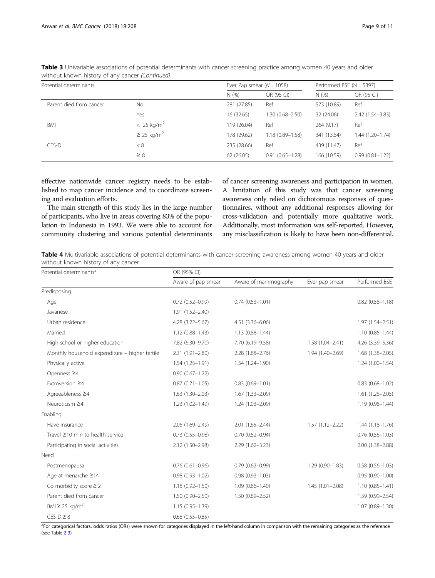| Potential determinants  |                             | Ever Pap smear $(N = 1058)$ |                     | Performed BSE ( $N = 5397$ ) |                     |
|-------------------------|-----------------------------|-----------------------------|---------------------|------------------------------|---------------------|
|                         |                             | N(% )                       | OR (95 CI)          | N(%                          | OR (95 CI)          |
| Parent died from cancer | No                          | 281 (27.85)                 | Ref                 | 573 (10.89)                  | Ref                 |
|                         | Yes                         | 16 (32.65)                  | 1.30 (0.68-2.50)    | 32 (24.06)                   | $2.42(1.54 - 3.83)$ |
| BMI                     | $< 25$ kg/m <sup>2</sup>    | 119 (26.04)                 | Ref                 | 264(9.17)                    | Ref                 |
|                         | $\geq$ 25 kg/m <sup>2</sup> | 178 (29.62)                 | $1.18(0.89 - 1.58)$ | 341 (13.54)                  | $1.44(1.20 - 1.74)$ |
| CES-D                   | < 8                         | 235 (28.66)                 | Ref                 | 439 (11.47)                  | Ref                 |
|                         | $\geq 8$                    | 62(26.05)                   | $0.91(0.65 - 1.28)$ | 166 (10.59)                  | $0.99(0.81 - 1.22)$ |

<span id="page-8-0"></span>Table 3 Univariable associations of potential determinants with cancer screening practice among women 40 years and older without known history of any cancer (Continued)

effective nationwide cancer registry needs to be established to map cancer incidence and to coordinate screening and evaluation efforts.

The main strength of this study lies in the large number of participants, who live in areas covering 83% of the population in Indonesia in 1993. We were able to account for community clustering and various potential determinants of cancer screening awareness and participation in women. A limitation of this study was that cancer screening awareness only relied on dichotomous responses of questionnaires, without any additional responses allowing for cross-validation and potentially more qualitative work. Additionally, most information was self-reported. However, any misclassification is likely to have been non-differential.

Table 4 Multivariable associations of potential determinants with cancer screening awareness among women 40 years and older without known history of any cancer

| Potential determinants <sup>a</sup>            | OR (95% CI)            |                      |                     |                        |  |  |
|------------------------------------------------|------------------------|----------------------|---------------------|------------------------|--|--|
|                                                | Aware of pap smear     | Aware of mammography | Ever pap smear      | Performed BSE          |  |  |
| Predisposing                                   |                        |                      |                     |                        |  |  |
| Age                                            | $0.72(0.52 - 0.99)$    | $0.74(0.53 - 1.01)$  |                     | $0.82$ $(0.58 - 1.18)$ |  |  |
| Javanese                                       | $1.91(1.52 - 2.40)$    |                      |                     |                        |  |  |
| Urban residence                                | $4.28$ $(3.22 - 5.67)$ | 4.51 (3.36-6.06)     |                     | $1.97(1.54 - 2.51)$    |  |  |
| Married                                        | $1.12(0.88 - 1.43)$    | $1.13(0.88 - 1.44)$  |                     | $1.10(0.85 - 1.44)$    |  |  |
| High school or higher education                | 7.82 (6.30-9.70)       | 7.70 (6.19-9.58)     | $1.58(1.04 - 2.41)$ | 4.26 (3.39-5.36)       |  |  |
| Monthly household expenditure - higher tertile | $2.31(1.91 - 2.80)$    | 2.28 (1.88-2.76)     | 1.94 (1.40-2.69)    | $1.68(1.38 - 2.05)$    |  |  |
| Physically active                              | $1.54(1.25 - 1.91)$    | 1.54 (1.24-1.90)     |                     | $1.24(1.00-1.54)$      |  |  |
| Openness ≥4                                    | $0.90(0.67 - 1.22)$    |                      |                     |                        |  |  |
| Extroversion ≥4                                | $0.87(0.71 - 1.05)$    | $0.83(0.69 - 1.01)$  |                     | $0.83$ $(0.68 - 1.02)$ |  |  |
| Agreeableness ≥4                               | $1.63(1.30-2.03)$      | $1.67(1.33 - 2.09)$  |                     | $1.61(1.26 - 2.05)$    |  |  |
| Neuroticism ≥4                                 | 1.23 (1.02-1.49)       | $1.24(1.03 - 2.09)$  |                     | 1.19 (0.98-1.44)       |  |  |
| Enabling                                       |                        |                      |                     |                        |  |  |
| Have insurance                                 | $2.05(1.69 - 2.49)$    | $2.01(1.65 - 2.44)$  | $1.57(1.12 - 2.22)$ | $1.44(1.18-1.76)$      |  |  |
| Travel ≥10 min to health service               | $0.73$ $(0.55 - 0.98)$ | $0.70(0.52 - 0.94)$  |                     | $0.76$ $(0.56 - 1.03)$ |  |  |
| Participating in social activities             | 2.12 (1.50-2.98)       | $2.29(1.62 - 3.23)$  |                     | 2.00 (1.38-2.88)       |  |  |
| Need                                           |                        |                      |                     |                        |  |  |
| Postmenopausal                                 | $0.76(0.61 - 0.96)$    | $0.79(0.63 - 0.99)$  | $1.29(0.90 - 1.83)$ | $0.58(0.56 - 1.03)$    |  |  |
| Age at menarche ≥14                            | $0.98(0.93 - 1.02)$    | $0.98(0.93 - 1.03)$  |                     | $0.95(0.90 - 1.00)$    |  |  |
| Co-morbidity score $\geq 2$                    | $1.18(0.92 - 1.50)$    | $1.09(0.86 - 1.40)$  | $1.45(1.01 - 2.08)$ | $1.10(0.85 - 1.41)$    |  |  |
| Parent died from cancer                        | $1.50(0.90 - 2.50)$    | $1.50(0.89 - 2.52)$  |                     | 1.59 (0.99-2.54)       |  |  |
| BMI $\geq$ 25 kg/m <sup>2</sup>                | $1.15(0.95 - 1.39)$    |                      |                     | 1.07 (0.89-1.30)       |  |  |
| $CES-D \geq 8$                                 | $0.68$ $(0.55 - 0.85)$ |                      |                     |                        |  |  |

<sup>a</sup>For categorical factors, odds ratios (ORs) were shown for categories displayed in the left-hand column in comparison with the remaining categories as the reference (see Table [2-](#page-5-0)[3](#page-7-0))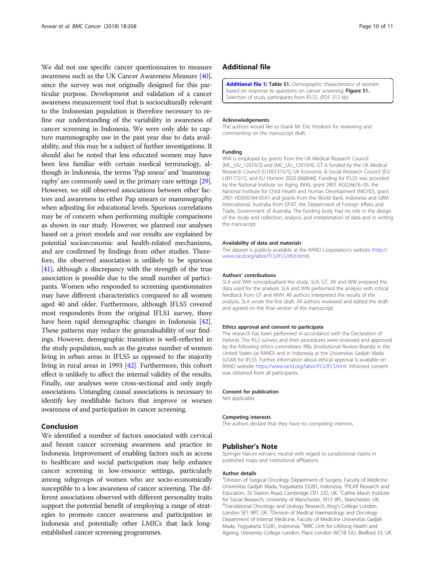<span id="page-9-0"></span>We did not use specific cancer questionnaires to measure awareness such as the UK Cancer Awareness Measure [\[40](#page-10-0)], since the survey was not originally designed for this particular purpose. Development and validation of a cancer awareness measurement tool that is socioculturally relevant to the Indonesian population is therefore necessary to refine our understanding of the variability in awareness of cancer screening in Indonesia. We were only able to capture mammography use in the past year due to data availability, and this may be a subject of further investigations. It should also be noted that less educated women may have been less familiar with certain medical terminology, although in Indonesia, the terms 'Pap smear' and 'mammography' are commonly used in the primary care settings [\[29](#page-10-0)]. However, we still observed associations between other factors and awareness to either Pap smears or mammography when adjusting for educational levels. Spurious correlations may be of concern when performing multiple comparisons as shown in our study. However, we planned our analyses based on a priori models and our results are explained by potential socioeconomic and health-related mechanisms, and are confirmed by findings from other studies. Therefore, the observed association is unlikely to be spurious [[41](#page-10-0)], although a discrepancy with the strength of the true association is possible due to the small number of participants. Women who responded to screening questionnaires may have different characteristics compared to all women aged 40 and older. Furthermore, although IFLS5 covered most respondents from the original IFLS1 survey, there have been rapid demographic changes in Indonesia [\[42](#page-10-0)]. These patterns may reduce the generalisability of our findings. However, demographic transition is well-reflected in the study population, such as the greater number of women living in urban areas in IFLS5 as opposed to the majority living in rural areas in 1993 [\[42](#page-10-0)]. Furthermore, this cohort effect is unlikely to affect the internal validity of the results. Finally, our analyses were cross-sectional and only imply associations. Untangling causal associations is necessary to identify key modifiable factors that improve or worsen awareness of and participation in cancer screening.

#### Conclusion

We identified a number of factors associated with cervical and breast cancer screening awareness and practice in Indonesia. Improvement of enabling factors such as access to healthcare and social participation may help enhance cancer screening in low-resource settings, particularly among subgroups of women who are socio-economically susceptible to a low awareness of cancer screening. The different associations observed with different personality traits support the potential benefit of employing a range of strategies to promote cancer awareness and participation in Indonesia and potentially other LMICs that lack longestablished cancer screening programmes.

#### Additional file

[Additional file 1:](https://doi.org/10.1186/s12885-018-4125-z) Table S1. Demographic characteristics of women based on response to questions on cancer screening. Figure S1. Selection of study participants from IFLS5. (PDF 312 kb)

#### Acknowledgements

The authors would like to thank Mr. Eric Hookom for reviewing and commenting on the manuscript draft.

#### Funding

WW is employed by grants from the UK Medical Research Council [MC\_UU\_12019/2] and [MC\_UU\_12019/4]. GT is funded by the UK Medical Research Council [G1001375/1], UK Economic & Social Research Council [ES/ L001772/1], and EU Horizon 2020 [668648]. Funding for IFLS5 was provided by the National Institute on Aging (NIA), grant 2R01 AG026676–05, the National Institute for Child Health and Human Development (NICHD), grant 2R01 HD050764-05A1 and grants from the World Bank, Indonesia and GRM International, Australia from DFAT, the Department of Foreign Affairs and Trade, Government of Australia. The funding body had no role in the design of the study and collection, analysis, and interpretation of data and in writing the manuscript.

#### Availability of data and materials

The dataset is publicly available at the RAND Corporation's website ([http://](http://www.rand.org/labor/FLS/IFLS/ifls5.html) [www.rand.org/labor/FLS/IFLS/ifls5.html](http://www.rand.org/labor/FLS/IFLS/ifls5.html)).

#### Authors' contributions

SLA and WW conceptualised the study. SLA, GT, JW and WW prepared the data used for the analysis. SLA and WW performed the analysis with critical feedback from GT and MVH. All authors interpreted the results of the analysis. SLA wrote the first draft. All authors reviewed and edited the draft and agreed on the final version of the manuscript.

#### Ethics approval and consent to participate

The research has been performed in accordance with the Declaration of Helsinki. The IFLS surveys and their procedures were reviewed and approved by the following ethics committees: IRBs (Institutional Review Boards) in the United States (at RAND) and in Indonesia at the Universitas Gadjah Mada (UGM) for IFLS5. Further information about ethical approval is available on RAND website [https://www.rand.org/labor/FLS/IFLS.html.](https://www.rand.org/labor/FLS/IFLS.html) Informed consent was obtained from all participants.

#### Consent for publication

Not applicable

#### Competing interests

The authors declare that they have no competing interests.

#### Publisher's Note

Springer Nature remains neutral with regard to jurisdictional claims in published maps and institutional affiliations.

#### Author details

<sup>1</sup> Division of Surgical Oncology Department of Surgery, Faculty of Medicine Universitas Gadjah Mada, Yogyakarta 55281, Indonesia. <sup>2</sup>PILAR Research and Education, 20 Station Road, Cambridge CB1 2JD, UK. <sup>3</sup>Cathie Marsh Institute for Social Research, University of Manchester, M13 9PL, Manchester, UK. 4 Translational Oncology and Urology Research, King's College London, London SE1 9RT, UK. <sup>5</sup> Division of Medical Haematology and Oncology Department of Internal Medicine, Faculty of Medicine Universitas Gadjah Mada, Yogyakarta 55281, Indonesia. <sup>6</sup>MRC Unit for Lifelong Health and Ageing, University College London, Place London WC1B 5JU, Bedford 33, UK.